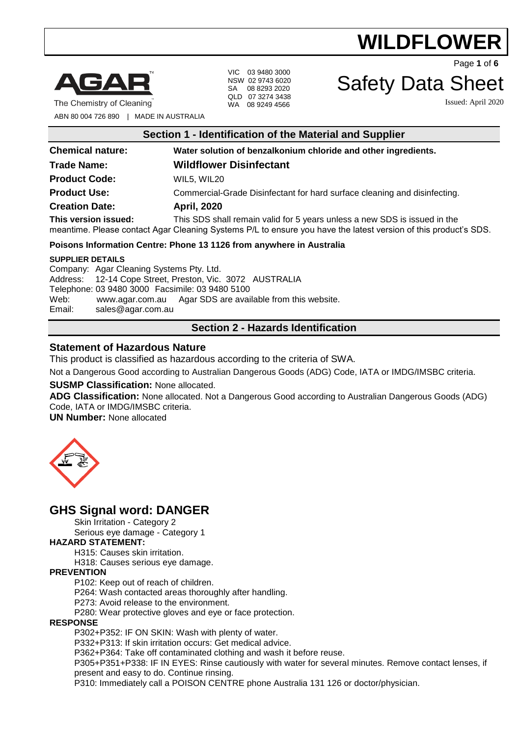

The Chemistry of Cleaning

VIC 03 9480 3000 NSW 02 9743 6020 SA 08 8293 2020 QLD 07 3274 3438 WA 08 9249 4566

Page **1** of **6**

### Safety Data Sheet

Issued: April 2020

ABN 80 004 726 890 | MADE IN AUSTRALIA

| Section 1 - Identification of the Material and Supplier            |                                                                                                                                                                                              |  |
|--------------------------------------------------------------------|----------------------------------------------------------------------------------------------------------------------------------------------------------------------------------------------|--|
| <b>Chemical nature:</b>                                            | Water solution of benzalkonium chloride and other ingredients.                                                                                                                               |  |
| <b>Trade Name:</b>                                                 | <b>Wildflower Disinfectant</b>                                                                                                                                                               |  |
| <b>Product Code:</b>                                               | WIL5, WIL20                                                                                                                                                                                  |  |
| <b>Product Use:</b>                                                | Commercial-Grade Disinfectant for hard surface cleaning and disinfecting.                                                                                                                    |  |
| <b>Creation Date:</b>                                              | <b>April, 2020</b>                                                                                                                                                                           |  |
| This version issued:                                               | This SDS shall remain valid for 5 years unless a new SDS is issued in the<br>meantime. Please contact Agar Cleaning Systems P/L to ensure you have the latest version of this product's SDS. |  |
|                                                                    | Poisons Information Centre: Phone 13 1126 from anywhere in Australia                                                                                                                         |  |
| <b>SUPPLIER DETAILS</b><br>Company: Agar Cleaning Systems Pty Ltd. |                                                                                                                                                                                              |  |

Company: Agar Cleaning Systems Pty. Ltd. Address: 12-14 Cope Street, Preston, Vic. 3072 AUSTRALIA Telephone: 03 9480 3000 Facsimile: 03 9480 5100 Web: [www.agar.com.au](http://www.agar.com.au/) Agar SDS are available from this website. Email: [sales@agar.com.au](mailto:sales@agar.com.au)

### **Section 2 - Hazards Identification**

### **Statement of Hazardous Nature**

This product is classified as hazardous according to the criteria of SWA.

Not a Dangerous Good according to Australian Dangerous Goods (ADG) Code, IATA or IMDG/IMSBC criteria.

### **SUSMP Classification:** None allocated.

**ADG Classification:** None allocated. Not a Dangerous Good according to Australian Dangerous Goods (ADG) Code, IATA or IMDG/IMSBC criteria.

**UN Number:** None allocated



### **GHS Signal word: DANGER**

Skin Irritation - Category 2

Serious eye damage - Category 1

### **HAZARD STATEMENT:**

H315: Causes skin irritation.

H318: Causes serious eye damage.

### **PREVENTION**

P102: Keep out of reach of children.

P264: Wash contacted areas thoroughly after handling.

P273: Avoid release to the environment.

P280: Wear protective gloves and eye or face protection.

### **RESPONSE**

P302+P352: IF ON SKIN: Wash with plenty of water.

P332+P313: If skin irritation occurs: Get medical advice.

P362+P364: Take off contaminated clothing and wash it before reuse.

P305+P351+P338: IF IN EYES: Rinse cautiously with water for several minutes. Remove contact lenses, if present and easy to do. Continue rinsing.

P310: Immediately call a POISON CENTRE phone Australia 131 126 or doctor/physician.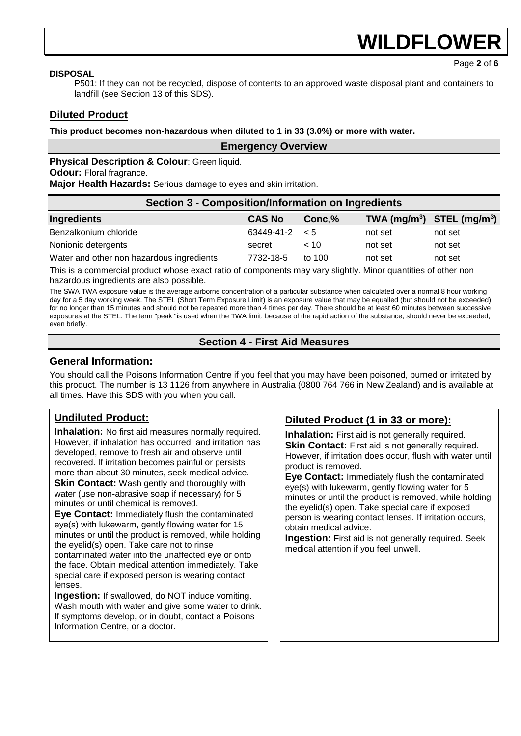Page **2** of **6**

#### **DISPOSAL**

P501: If they can not be recycled, dispose of contents to an approved waste disposal plant and containers to landfill (see Section 13 of this SDS).

### **Diluted Product**

**This product becomes non-hazardous when diluted to 1 in 33 (3.0%) or more with water.**

### **Physical Description & Colour: Green liquid.**

**Odour:** Floral fragrance.

**Major Health Hazards:** Serious damage to eyes and skin irritation.

| <b>Section 3 - Composition/Information on Ingredients</b> |                     |          |         |                                                    |
|-----------------------------------------------------------|---------------------|----------|---------|----------------------------------------------------|
| Ingredients                                               | <b>CAS No</b>       | Conc, %  |         | TWA (mg/m <sup>3</sup> ) STEL (mg/m <sup>3</sup> ) |
| Benzalkonium chloride                                     | $63449-41-2 \leq 5$ |          | not set | not set                                            |
| Nonionic detergents                                       | secret              | ~10      | not set | not set                                            |
| Water and other non hazardous ingredients                 | 7732-18-5           | to $100$ | not set | not set                                            |

**Emergency Overview**

This is a commercial product whose exact ratio of components may vary slightly. Minor quantities of other non hazardous ingredients are also possible.

The SWA TWA exposure value is the average airborne concentration of a particular substance when calculated over a normal 8 hour working day for a 5 day working week. The STEL (Short Term Exposure Limit) is an exposure value that may be equalled (but should not be exceeded) for no longer than 15 minutes and should not be repeated more than 4 times per day. There should be at least 60 minutes between successive exposures at the STEL. The term "peak "is used when the TWA limit, because of the rapid action of the substance, should never be exceeded, even briefly.

### **Section 4 - First Aid Measures**

### **General Information:**

You should call the Poisons Information Centre if you feel that you may have been poisoned, burned or irritated by this product. The number is 13 1126 from anywhere in Australia (0800 764 766 in New Zealand) and is available at all times. Have this SDS with you when you call.

### **Undiluted Product:**

**Inhalation:** No first aid measures normally required. However, if inhalation has occurred, and irritation has developed, remove to fresh air and observe until recovered. If irritation becomes painful or persists more than about 30 minutes, seek medical advice. **Skin Contact:** Wash gently and thoroughly with water (use non-abrasive soap if necessary) for 5 minutes or until chemical is removed.

**Eye Contact:** Immediately flush the contaminated eye(s) with lukewarm, gently flowing water for 15 minutes or until the product is removed, while holding the eyelid(s) open. Take care not to rinse contaminated water into the unaffected eye or onto the face. Obtain medical attention immediately. Take special care if exposed person is wearing contact lenses.

**Ingestion:** If swallowed, do NOT induce vomiting. Wash mouth with water and give some water to drink. If symptoms develop, or in doubt, contact a Poisons Information Centre, or a doctor.

### **Diluted Product (1 in 33 or more):**

**Inhalation:** First aid is not generally required. **Skin Contact:** First aid is not generally required. However, if irritation does occur, flush with water until product is removed.

**Eye Contact:** Immediately flush the contaminated eye(s) with lukewarm, gently flowing water for 5 minutes or until the product is removed, while holding the eyelid(s) open. Take special care if exposed person is wearing contact lenses. If irritation occurs, obtain medical advice.

**Ingestion:** First aid is not generally required. Seek medical attention if you feel unwell.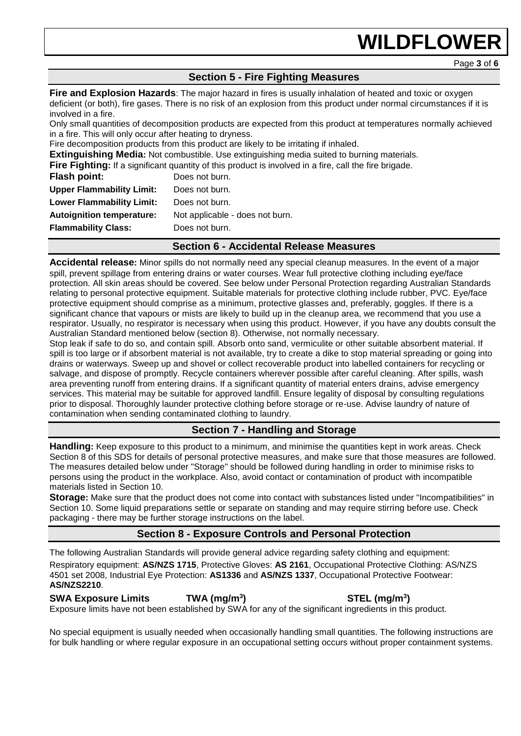### **Section 5 - Fire Fighting Measures**

**Fire and Explosion Hazards**: The major hazard in fires is usually inhalation of heated and toxic or oxygen deficient (or both), fire gases. There is no risk of an explosion from this product under normal circumstances if it is involved in a fire.

Only small quantities of decomposition products are expected from this product at temperatures normally achieved in a fire. This will only occur after heating to dryness.

Fire decomposition products from this product are likely to be irritating if inhaled.

**Extinguishing Media:** Not combustible. Use extinguishing media suited to burning materials.

**Fire Fighting:** If a significant quantity of this product is involved in a fire, call the fire brigade.

| Flash point:                     | Does not burn.                  |
|----------------------------------|---------------------------------|
| <b>Upper Flammability Limit:</b> | Does not burn.                  |
| <b>Lower Flammability Limit:</b> | Does not burn.                  |
| <b>Autoignition temperature:</b> | Not applicable - does not burn. |
| <b>Flammability Class:</b>       | Does not burn.                  |
|                                  |                                 |

### **Section 6 - Accidental Release Measures**

**Accidental release:** Minor spills do not normally need any special cleanup measures. In the event of a major spill, prevent spillage from entering drains or water courses. Wear full protective clothing including eye/face protection. All skin areas should be covered. See below under Personal Protection regarding Australian Standards relating to personal protective equipment. Suitable materials for protective clothing include rubber, PVC. Eye/face protective equipment should comprise as a minimum, protective glasses and, preferably, goggles. If there is a significant chance that vapours or mists are likely to build up in the cleanup area, we recommend that you use a respirator. Usually, no respirator is necessary when using this product. However, if you have any doubts consult the Australian Standard mentioned below (section 8). Otherwise, not normally necessary.

Stop leak if safe to do so, and contain spill. Absorb onto sand, vermiculite or other suitable absorbent material. If spill is too large or if absorbent material is not available, try to create a dike to stop material spreading or going into drains or waterways. Sweep up and shovel or collect recoverable product into labelled containers for recycling or salvage, and dispose of promptly. Recycle containers wherever possible after careful cleaning. After spills, wash area preventing runoff from entering drains. If a significant quantity of material enters drains, advise emergency services. This material may be suitable for approved landfill. Ensure legality of disposal by consulting regulations prior to disposal. Thoroughly launder protective clothing before storage or re-use. Advise laundry of nature of contamination when sending contaminated clothing to laundry.

### **Section 7 - Handling and Storage**

**Handling:** Keep exposure to this product to a minimum, and minimise the quantities kept in work areas. Check Section 8 of this SDS for details of personal protective measures, and make sure that those measures are followed. The measures detailed below under "Storage" should be followed during handling in order to minimise risks to persons using the product in the workplace. Also, avoid contact or contamination of product with incompatible materials listed in Section 10.

**Storage:** Make sure that the product does not come into contact with substances listed under "Incompatibilities" in Section 10. Some liquid preparations settle or separate on standing and may require stirring before use. Check packaging - there may be further storage instructions on the label.

### **Section 8 - Exposure Controls and Personal Protection**

The following Australian Standards will provide general advice regarding safety clothing and equipment: Respiratory equipment: **AS/NZS 1715**, Protective Gloves: **AS 2161**, Occupational Protective Clothing: AS/NZS 4501 set 2008, Industrial Eye Protection: **AS1336** and **AS/NZS 1337**, Occupational Protective Footwear: **AS/NZS2210**.

**SWA Exposure Limits TWA (mg/m<sup>3</sup> ) STEL (mg/m<sup>3</sup> )** Exposure limits have not been established by SWA for any of the significant ingredients in this product.

No special equipment is usually needed when occasionally handling small quantities. The following instructions are for bulk handling or where regular exposure in an occupational setting occurs without proper containment systems.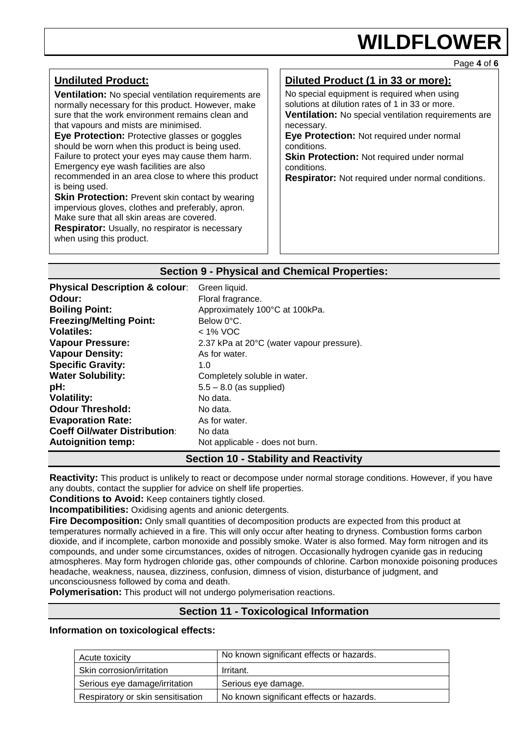Page **4** of **6**

| <b>Undiluted Product:</b><br><b>Ventilation:</b> No special ventilation requirements are<br>normally necessary for this product. However, make<br>sure that the work environment remains clean and<br>that vapours and mists are minimised.<br>Eye Protection: Protective glasses or goggles<br>should be worn when this product is being used.<br>Failure to protect your eyes may cause them harm.<br>Emergency eye wash facilities are also<br>recommended in an area close to where this product<br>is being used.<br><b>Skin Protection: Prevent skin contact by wearing</b><br>impervious gloves, clothes and preferably, apron.<br>Make sure that all skin areas are covered.<br><b>Respirator:</b> Usually, no respirator is necessary<br>when using this product. | Diluted Product (1 in 33 or more):<br>No special equipment is required when using<br>solutions at dilution rates of 1 in 33 or more.<br><b>Ventilation:</b> No special ventilation requirements are<br>necessary.<br>Eye Protection: Not required under normal<br>conditions.<br>Skin Protection: Not required under normal<br>conditions.<br><b>Respirator:</b> Not required under normal conditions. |
|----------------------------------------------------------------------------------------------------------------------------------------------------------------------------------------------------------------------------------------------------------------------------------------------------------------------------------------------------------------------------------------------------------------------------------------------------------------------------------------------------------------------------------------------------------------------------------------------------------------------------------------------------------------------------------------------------------------------------------------------------------------------------|--------------------------------------------------------------------------------------------------------------------------------------------------------------------------------------------------------------------------------------------------------------------------------------------------------------------------------------------------------------------------------------------------------|
|                                                                                                                                                                                                                                                                                                                                                                                                                                                                                                                                                                                                                                                                                                                                                                            |                                                                                                                                                                                                                                                                                                                                                                                                        |

### **Section 9 - Physical and Chemical Properties:**

| <b>Physical Description &amp; colour:</b> | Green liquid.                             |
|-------------------------------------------|-------------------------------------------|
| Odour:                                    | Floral fragrance.                         |
| <b>Boiling Point:</b>                     | Approximately 100°C at 100kPa.            |
| <b>Freezing/Melting Point:</b>            | Below 0°C.                                |
| <b>Volatiles:</b>                         | $<$ 1% VOC                                |
| <b>Vapour Pressure:</b>                   | 2.37 kPa at 20°C (water vapour pressure). |
| <b>Vapour Density:</b>                    | As for water.                             |
| <b>Specific Gravity:</b>                  | 1.0                                       |
| <b>Water Solubility:</b>                  | Completely soluble in water.              |
| pH:                                       | $5.5 - 8.0$ (as supplied)                 |
| <b>Volatility:</b>                        | No data.                                  |
| <b>Odour Threshold:</b>                   | No data.                                  |
| <b>Evaporation Rate:</b>                  | As for water.                             |
| <b>Coeff Oil/water Distribution:</b>      | No data                                   |
| <b>Autoignition temp:</b>                 | Not applicable - does not burn.           |

### **Section 10 - Stability and Reactivity**

**Reactivity:** This product is unlikely to react or decompose under normal storage conditions. However, if you have any doubts, contact the supplier for advice on shelf life properties.

**Conditions to Avoid:** Keep containers tightly closed.

**Incompatibilities:** Oxidising agents and anionic detergents.

**Fire Decomposition:** Only small quantities of decomposition products are expected from this product at temperatures normally achieved in a fire. This will only occur after heating to dryness. Combustion forms carbon dioxide, and if incomplete, carbon monoxide and possibly smoke. Water is also formed. May form nitrogen and its compounds, and under some circumstances, oxides of nitrogen. Occasionally hydrogen cyanide gas in reducing atmospheres. May form hydrogen chloride gas, other compounds of chlorine. Carbon monoxide poisoning produces headache, weakness, nausea, dizziness, confusion, dimness of vision, disturbance of judgment, and unconsciousness followed by coma and death.

**Polymerisation:** This product will not undergo polymerisation reactions.

### **Section 11 - Toxicological Information**

### **Information on toxicological effects:**

| Acute toxicity                    | No known significant effects or hazards. |
|-----------------------------------|------------------------------------------|
| Skin corrosion/irritation         | Irritant.                                |
| Serious eye damage/irritation     | Serious eye damage.                      |
| Respiratory or skin sensitisation | No known significant effects or hazards. |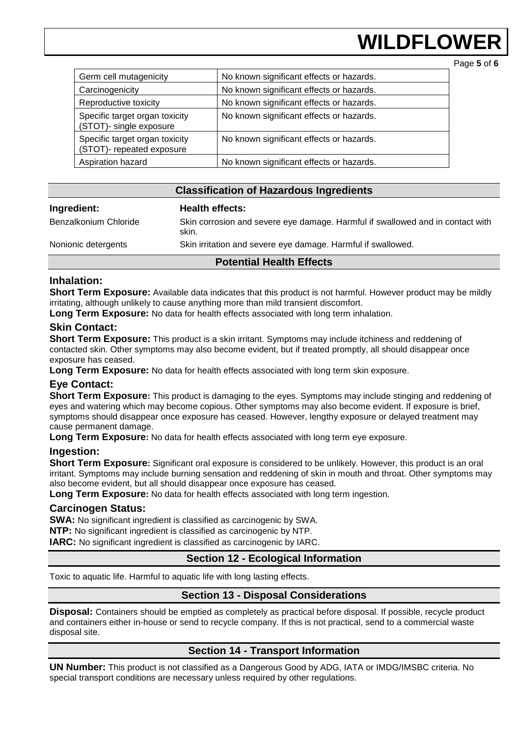## **WILDFLOWEI**

Page **5** of **6**

| Germ cell mutagenicity                                      | No known significant effects or hazards. |
|-------------------------------------------------------------|------------------------------------------|
| Carcinogenicity                                             | No known significant effects or hazards. |
| Reproductive toxicity                                       | No known significant effects or hazards. |
| Specific target organ toxicity<br>(STOT)- single exposure   | No known significant effects or hazards. |
| Specific target organ toxicity<br>(STOT)- repeated exposure | No known significant effects or hazards. |
| Aspiration hazard                                           | No known significant effects or hazards. |

### **Classification of Hazardous Ingredients**

| Ingredient:                     | <b>Health effects:</b>                                                                  |  |
|---------------------------------|-----------------------------------------------------------------------------------------|--|
| Benzalkonium Chloride           | Skin corrosion and severe eye damage. Harmful if swallowed and in contact with<br>skin. |  |
| Nonionic detergents             | Skin irritation and severe eye damage. Harmful if swallowed.                            |  |
| <b>Potential Health Effects</b> |                                                                                         |  |

### **Inhalation:**

**Short Term Exposure:** Available data indicates that this product is not harmful. However product may be mildly irritating, although unlikely to cause anything more than mild transient discomfort.

**Long Term Exposure:** No data for health effects associated with long term inhalation.

### **Skin Contact:**

**Short Term Exposure:** This product is a skin irritant. Symptoms may include itchiness and reddening of contacted skin. Other symptoms may also become evident, but if treated promptly, all should disappear once exposure has ceased.

**Long Term Exposure:** No data for health effects associated with long term skin exposure.

### **Eye Contact:**

**Short Term Exposure:** This product is damaging to the eyes. Symptoms may include stinging and reddening of eyes and watering which may become copious. Other symptoms may also become evident. If exposure is brief, symptoms should disappear once exposure has ceased. However, lengthy exposure or delayed treatment may cause permanent damage.

**Long Term Exposure:** No data for health effects associated with long term eye exposure.

### **Ingestion:**

**Short Term Exposure:** Significant oral exposure is considered to be unlikely. However, this product is an oral irritant. Symptoms may include burning sensation and reddening of skin in mouth and throat. Other symptoms may also become evident, but all should disappear once exposure has ceased.

**Long Term Exposure:** No data for health effects associated with long term ingestion.

### **Carcinogen Status:**

**SWA:** No significant ingredient is classified as carcinogenic by SWA.

**NTP:** No significant ingredient is classified as carcinogenic by NTP.

**IARC:** No significant ingredient is classified as carcinogenic by IARC.

### **Section 12 - Ecological Information**

Toxic to aquatic life. Harmful to aquatic life with long lasting effects.

### **Section 13 - Disposal Considerations**

**Disposal:** Containers should be emptied as completely as practical before disposal. If possible, recycle product and containers either in-house or send to recycle company. If this is not practical, send to a commercial waste disposal site.

### **Section 14 - Transport Information**

**UN Number:** This product is not classified as a Dangerous Good by ADG, IATA or IMDG/IMSBC criteria. No special transport conditions are necessary unless required by other regulations.